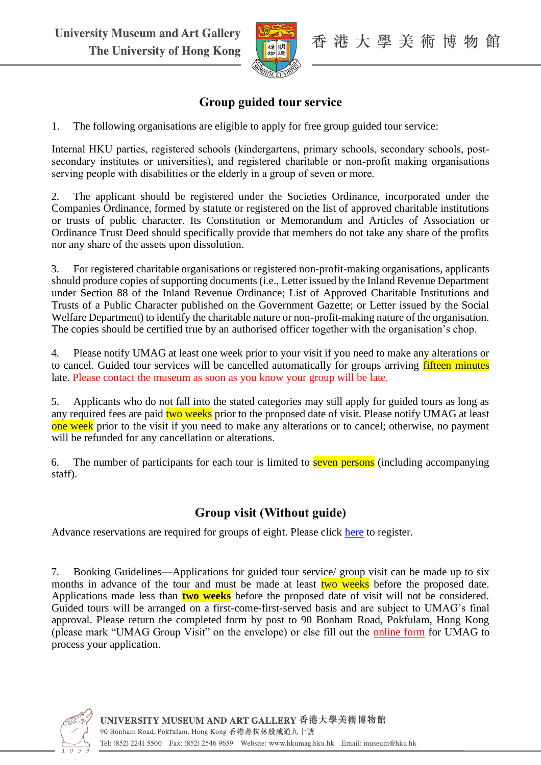

## **Group guided tour service**

1. The following organisations are eligible to apply for free group guided tour service:

Internal HKU parties, registered schools (kindergartens, primary schools, secondary schools, postsecondary institutes or universities), and registered charitable or non-profit making organisations serving people with disabilities or the elderly in a group of seven or more.

2. The applicant should be registered under the Societies Ordinance, incorporated under the Companies Ordinance, formed by statute or registered on the list of approved charitable institutions or trusts of public character. Its Constitution or Memorandum and Articles of Association or Ordinance Trust Deed should specifically provide that members do not take any share of the profits nor any share of the assets upon dissolution.

3. For registered charitable organisations or registered non-profit-making organisations, applicants should produce copies of supporting documents (i.e., Letter issued by the Inland Revenue Department under Section 88 of the Inland Revenue Ordinance; List of Approved Charitable Institutions and Trusts of a Public Character published on the Government Gazette; or Letter issued by the Social Welfare Department) to identify the charitable nature or non-profit-making nature of the organisation. The copies should be certified true by an authorised officer together with the organisation's chop.

4. Please notify UMAG at least one week prior to your visit if you need to make any alterations or to cancel. Guided tour services will be cancelled automatically for groups arriving fifteen minutes late. Please contact the museum as soon as you know your group will be late.

5. Applicants who do not fall into the stated categories may still apply for guided tours as long as any required fees are paid two weeks prior to the proposed date of visit. Please notify UMAG at least one week prior to the visit if you need to make any alterations or to cancel; otherwise, no payment will be refunded for any cancellation or alterations.

6. The number of participants for each tour is limited to seven persons (including accompanying staff).

## **Group visit (Without guide)**

Advance reservations are required for groups of eight. Please click [here](https://hku.au1.qualtrics.com/jfe/form/SV_a8yQJL3ftKyj2Cx) to register.

7. Booking Guidelines—Applications for guided tour service/ group visit can be made up to six months in advance of the tour and must be made at least two weeks before the proposed date. Applications made less than **two weeks** before the proposed date of visit will not be considered. Guided tours will be arranged on a first-come-first-served basis and are subject to UMAG's final approval. Please return the completed form by post to 90 Bonham Road, Pokfulam, Hong Kong (please mark "UMAG Group Visit" on the envelope) or else fill out the [online form](https://www.surveymonkey.com/r/DXN6KGF) for UMAG to process your application.